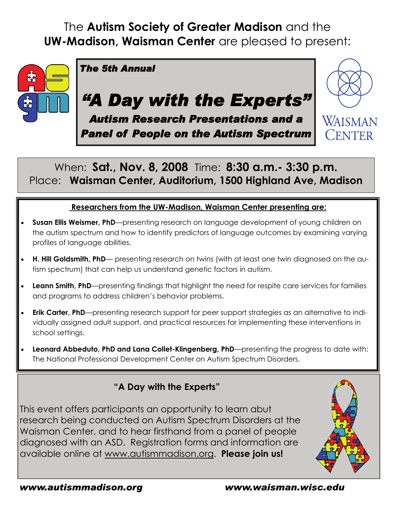## The **Autism Society of Greater Madison** and the **UW-Madison, Waisman Center** are pleased to present:



When: **Sat., Nov. 8, 2008** Time: **8:30 a.m.- 3:30 p.m.**  Place: **Waisman Center, Auditorium, 1500 Highland Ave, Madison** 

### **Researchers from the UW-Madison, Waisman Center presenting are:**

- **Susan Ellis Weismer, PhD**—presenting research on language development of young children on the autism spectrum and how to identify predictors of language outcomes by examining varying profiles of language abilities.
- **H. Hill Goldsmith, PhD** presenting research on twins (with at least one twin diagnosed on the autism spectrum) that can help us understand genetic factors in autism.
- **Leann Smith, PhD**—presenting findings that highlight the need for respite care services for families and programs to address children's behavior problems.
- **Erik Carter, PhD**—presenting research support for peer support strategies as an alternative to individually assigned adult support, and practical resources for implementing these interventions in school settings.
- **Leonard Abbeduto, PhD and Lana Collet-Klingenberg, PhD**—presenting the progress to date with: The National Professional Development Center on Autism Spectrum Disorders.

## **"A Day with the Experts"**

This event offers participants an opportunity to learn abut research being conducted on Autism Spectrum Disorders at the Waisman Center, and to hear firsthand from a panel of people diagnosed with an ASD. Registration forms and information are available online at www.autismmadison.org. **Please join us!**